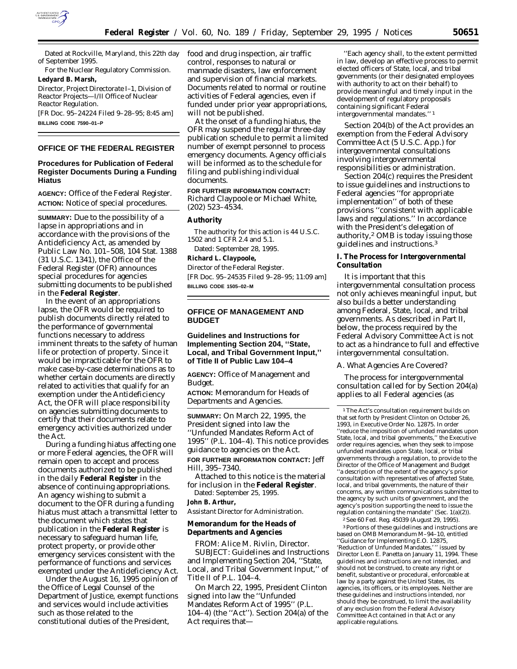

Dated at Rockville, Maryland, this 22th day of September 1995.

For the Nuclear Regulatory Commission. **Ledyard B. Marsh,**

*Director, Project Directorate I–1, Division of Reactor Projects—I/II Office of Nuclear Reactor Regulation.* [FR Doc. 95–24224 Filed 9–28–95; 8:45 am]

**BILLING CODE 7590–01–P**

# **OFFICE OF THE FEDERAL REGISTER**

### **Procedures for Publication of Federal Register Documents During a Funding Hiatus**

**AGENCY:** Office of the Federal Register. **ACTION:** Notice of special procedures.

**SUMMARY:** Due to the possibility of a lapse in appropriations and in accordance with the provisions of the Antideficiency Act, as amended by Public Law No. 101–508, 104 Stat. 1388 (31 U.S.C. 1341), the Office of the Federal Register (OFR) announces special procedures for agencies submitting documents to be published in the **Federal Register**.

In the event of an appropriations lapse, the OFR would be required to publish documents directly related to the performance of governmental functions necessary to address imminent threats to the safety of human life or protection of property. Since it would be impracticable for the OFR to make case-by-case determinations as to whether certain documents are directly related to activities that qualify for an exemption under the Antideficiency Act, the OFR will place responsibility on agencies submitting documents to certify that their documents relate to emergency activities authorized under the Act.

During a funding hiatus affecting one or more Federal agencies, the OFR will remain open to accept and process documents authorized to be published in the daily **Federal Register** in the absence of continuing appropriations. An agency wishing to submit a document to the OFR during a funding hiatus must attach a transmittal letter to the document which states that publication in the **Federal Register** is necessary to safeguard human life, protect property, or provide other emergency services consistent with the performance of functions and services exempted under the Antideficiency Act.

Under the August 16, 1995 opinion of the Office of Legal Counsel of the Department of Justice, exempt functions and services would include activities such as those related to the constitutional duties of the President,

food and drug inspection, air traffic control, responses to natural or manmade disasters, law enforcement and supervision of financial markets. Documents related to normal or routine activities of Federal agencies, even if funded under prior year appropriations, will not be published.

At the onset of a funding hiatus, the OFR may suspend the regular three-day publication schedule to permit a limited number of exempt personnel to process emergency documents. Agency officials will be informed as to the schedule for filing and publishing individual documents.

**FOR FURTHER INFORMATION CONTACT:** Richard Claypoole or Michael White, (202) 523–4534.

**Authority**

The authority for this action is 44 U.S.C. 1502 and 1 CFR 2.4 and 5.1.

Dated: September 28, 1995.

**Richard L. Claypoole,**

*Director of the Federal Register.*

[FR Doc. 95–24535 Filed 9–28–95; 11:09 am] **BILLING CODE 1505–02–M**

## **OFFICE OF MANAGEMENT AND BUDGET**

### **Guidelines and Instructions for Implementing Section 204, ''State, Local, and Tribal Government Input,'' of Title II of Public Law 104–4**

**AGENCY:** Office of Management and Budget.

**ACTION:** Memorandum for Heads of Departments and Agencies.

**SUMMARY:** On March 22, 1995, the President signed into law the ''Unfunded Mandates Reform Act of 1995'' (P.L. 104–4). This notice provides guidance to agencies on the Act.

**FOR FURTHER INFORMATION CONTACT:** Jeff Hill, 395–7340.

Attached to this notice is the material for inclusion in the **Federal Register**.

Dated: September 25, 1995.

**John B. Arthur,**

*Assistant Director for Administration.*

**Memorandum for the Heads of Departments and Agencies**

*FROM:* Alice M. Rivlin, Director. *SUBJECT:* Guidelines and Instructions and Implementing Section 204, ''State, Local, and Tribal Government Input,'' of Title II of P.L. 104–4.

On March 22, 1995, President Clinton signed into law the ''Unfunded Mandates Reform Act of 1995'' (P.L. 104–4) (the ''Act''). Section 204(a) of the Act requires that—

''Each agency shall, to the extent permitted in law, develop an effective process to permit elected officers of State, local, and tribal governments (or their designated employees with authority to act on their behalf) to provide meaningful and timely input in the development of regulatory proposals containing significant Federal intergovernmental mandates.'' 1

Section 204(b) of the Act provides an exemption from the Federal Advisory Committee Act (5 U.S.C. App.) for intergovernmental consultations involving intergovernmental responsibilities or administration.

Section 204(c) requires the President to issue guidelines and instructions to Federal agencies ''for appropriate implementation'' of both of these provisions ''consistent with applicable laws and regulations.'' In accordance with the President's delegation of authority,2 OMB is today issuing those guidelines and instructions.3

**I. The Process for Intergovernmental Consultation**

It is important that this intergovernmental consultation process not only achieves meaningful input, but also builds a better understanding among Federal, State, local, and tribal governments. As described in Part II, below, the process required by the Federal Advisory Committee Act is not to act as a hindrance to full and effective intergovernmental consultation.

*A. What Agencies Are Covered?*

The process for intergovernmental consultation called for by Section 204(a) applies to all Federal agencies (as

<sup>1</sup>The Act's consultation requirement builds on that set forth by President Clinton on October 26, 1993, in Executive Order No. 12875. In order ''reduce the imposition of unfunded mandates upon State, local, and tribal governments,'' the Executive order requires agencies, when they seek to impose unfunded mandates upon State, local, or tribal governments through a regulation, to provide to the Director of the Office of Management and Budget ''a description of the extent of the agency's prior consultation with representatives of affected State, local, and tribal governments, the nature of their concerns, any written communications submitted to the agency by such units of government, and the agency's position supporting the need to issue the regulation containing the mandate'' (Sec. 1(a)(2)).

2See 60 Fed. Reg. 45039 (August 29, 1995). 3Portions of these guidelines and instructions are

based on OMB Memorandum M–94–10, entitled ''Guidance for Implementing E.O. 12875, 'Reduction of Unfunded Mandates,' '' issued by Director Leon E. Panetta on January 11, 1994. These guidelines and instructions are not intended, and should not be construed, to create any right or benefit, substantive or procedural, enforceable at law by a party against the United States, its agencies, its officers, or its employees. Neither are these guidelines and instructions intended, nor should they be construed, to limit the availability of any exclusion from the Federal Advisory Committee Act contained in that Act or any applicable regulations.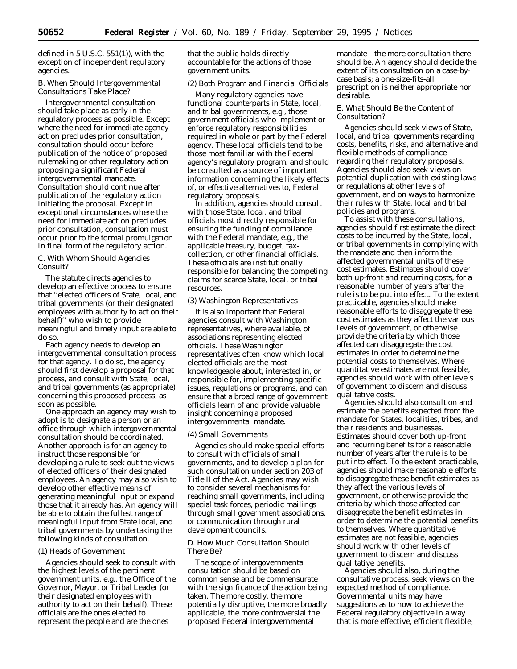defined in 5 U.S.C. 551(1)), with the exception of independent regulatory agencies.

## *B. When Should Intergovernmental Consultations Take Place?*

Intergovernmental consultation should take place as early in the regulatory process as possible. Except where the need for immediate agency action precludes prior consultation, consultation should occur before publication of the notice of proposed rulemaking or other regulatory action proposing a significant Federal intergovernmental mandate. Consultation should continue after publication of the regulatory action initiating the proposal. Except in exceptional circumstances where the need for immediate action precludes prior consultation, consultation must occur prior to the formal promulgation in final form of the regulatory action.

## *C. With Whom Should Agencies Consult?*

The statute directs agencies to develop an effective process to ensure that ''elected officers of State, local, and tribal governments (or their designated employees with authority to act on their behalf)'' who wish to provide meaningful and timely input are able to do so.

Each agency needs to develop an intergovernmental consultation process for that agency. To do so, the agency should first develop a proposal for that process, and consult with State, local, and tribal governments (as appropriate) concerning this proposed process, as soon as possible.

One approach an agency may wish to adopt is to designate a person or an office through which intergovernmental consultation should be coordinated. Another approach is for an agency to instruct those responsible for developing a rule to seek out the views of elected officers of their designated employees. An agency may also wish to develop other effective means of generating meaningful input or expand those that it already has. An agency will be able to obtain the fullest range of meaningful input from State local, and tribal governments by undertaking the following kinds of consultation.

#### (1) Heads of Government

Agencies should seek to consult with the highest levels of the pertinent government units, e.g., the Office of the Governor, Mayor, or Tribal Leader (or their designated employees with authority to act on their behalf). These officials are the ones elected to represent the people and are the ones

that the public holds directly accountable for the actions of those government units.

#### (2) Both Program and Financial Officials

Many regulatory agencies have functional counterparts in State, local, and tribal governments, e.g., those government officials who implement or enforce regulatory responsibilities required in whole or part by the Federal agency. These local officials tend to be those most familiar with the Federal agency's regulatory program, and should be consulted as a source of important information concerning the likely effects of, or effective alternatives to, Federal regulatory proposals.

In addition, agencies should consult with those State, local, and tribal officials most directly responsible for ensuring the funding of compliance with the Federal mandate, e.g., the applicable treasury, budget, taxcollection, or other financial officials. These officials are institutionally responsible for balancing the competing claims for scarce State, local, or tribal resources.

#### (3) Washington Representatives

It is also important that Federal agencies consult with Washington representatives, where available, of associations representing elected officials. These Washington representatives often know which local elected officials are the most knowledgeable about, interested in, or responsible for, implementing specific issues, regulations or programs, and can ensure that a broad range of government officials learn of and provide valuable insight concerning a proposed intergovernmental mandate.

#### (4) Small Governments

Agencies should make special efforts to consult with officials of small governments, and to develop a plan for such consultation under section 203 of Title II of the Act. Agencies may wish to consider several mechanisms for reaching small governments, including special task forces, periodic mailings through small government associations, or communication through rural development councils.

#### *D. How Much Consultation Should There Be?*

The scope of intergovernmental consultation should be based on common sense and be commensurate with the significance of the action being taken. The more costly, the more potentially disruptive, the more broadly applicable, the more controversial the proposed Federal intergovernmental

mandate—the more consultation there should be. An agency should decide the extent of its consultation on a case-bycase basis; a one-size-fits-all prescription is neither appropriate nor desirable.

#### *E. What Should Be the Content of Consultation?*

Agencies should seek views of State, local, and tribal governments regarding costs, benefits, risks, and alternative and flexible methods of compliance regarding their regulatory proposals. Agencies should also seek views on potential duplication with existing laws or regulations at other levels of government, and on ways to harmonize their rules with State, local and tribal policies and programs.

To assist with these consultations, agencies should first estimate the direct costs to be incurred by the State, local, or tribal governments in complying with the mandate and then inform the affected governmental units of these cost estimates. Estimates should cover both up-front and recurring costs, for a reasonable number of years after the rule is to be put into effect. To the extent practicable, agencies should make reasonable efforts to disaggregate these cost estimates as they affect the various levels of government, or otherwise provide the criteria by which those affected can disaggregate the cost estimates in order to determine the potential costs to themselves. Where quantitative estimates are not feasible, agencies should work with other levels of government to discern and discuss qualitative costs.

Agencies should also consult on and estimate the benefits expected from the mandate for States, localities, tribes, and their residents and businesses. Estimates should cover both up-front and recurring benefits for a reasonable number of years after the rule is to be put into effect. To the extent practicable, agencies should make reasonable efforts to disaggregate these benefit estimates as they affect the various levels of government, or otherwise provide the criteria by which those affected can disaggregate the benefit estimates in order to determine the potential benefits to themselves. Where quantitative estimates are not feasible, agencies should work with other levels of government to discern and discuss qualitative benefits.

Agencies should also, during the consultative process, seek views on the expected method of compliance. Governmental units may have suggestions as to how to achieve the Federal regulatory objective in a way that is more effective, efficient flexible,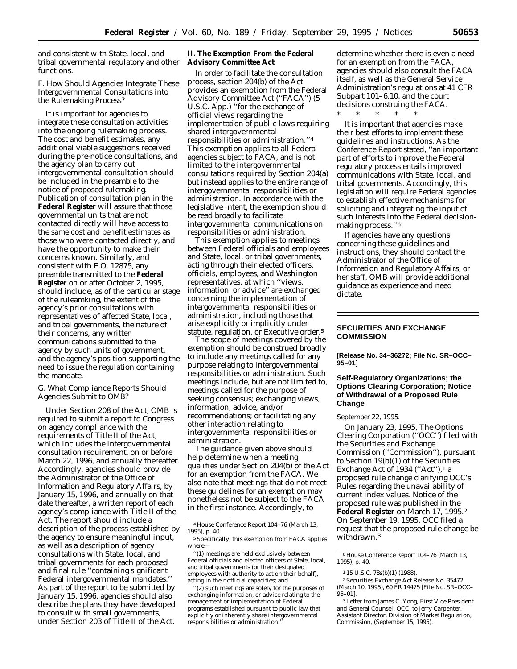and consistent with State, local, and tribal governmental regulatory and other functions.

## *F. How Should Agencies Integrate These Intergovernmental Consultations into the Rulemaking Process?*

It is important for agencies to integrate these consultation activities into the ongoing rulemaking process. The cost and benefit estimates, any additional viable suggestions received during the pre-notice consultations, and the agency plan to carry out intergovernmental consultation should be included in the preamble to the notice of proposed rulemaking. Publication of consultation plan in the **Federal Register** will assure that those governmental units that are not contacted directly will have access to the same cost and benefit estimates as those who were contacted directly, and have the opportunity to make their concerns known. Similarly, and consistent with E.O. 12875, any preamble transmitted to the **Federal Register** on or after October 2, 1995, should include, as of the particular stage of the ruleamking, the extent of the agency's prior consultations with representatives of affected State, local, and tribal governments, the nature of their concerns, any written communications submitted to the agency by such units of government, and the agency's position supporting the need to issue the regulation containing the mandate.

### *G. What Compliance Reports Should Agencies Submit to OMB?*

Under Section 208 of the Act, OMB is required to submit a report to Congress on agency compliance with the requirements of Title II of the Act, which includes the intergovernmental consultation requirement, on or before March 22, 1996, and annually thereafter. Accordingly, agencies should provide the Administrator of the Office of Information and Regulatory Affairs, by January 15, 1996, and annually on that date thereafter, a written report of each agency's compliance with Title II of the Act. The report should include a description of the process established by the agency to ensure meaningful input, as well as a description of agency consultations with State, local, and tribal governments for each proposed and final rule ''containing significant Federal intergovernmental mandates. As part of the report to be submitted by January 15, 1996, agencies should also describe the plans they have developed to consult with small governments, under Section 203 of Title II of the Act.

**II. The Exemption From the Federal Advisory Committee Act**

In order to facilitate the consultation process, section 204(b) of the Act provides an exemption from the Federal Advisory Committee Act (''FACA'') (5 U.S.C. App.) ''for the exchange of official views regarding the implementation of public laws requiring shared intergovernmental responsibilities or administration.''4 This exemption applies to all Federal agencies subject to FACA, and is not limited to the intergovernmental consultations required by Section 204(a) but instead applies to the entire range of intergovernmental responsibilities or administration. In accordance with the legislative intent, the exemption should be read broadly to facilitate intergovernmental communications on responsibilities or administration.

This exemption applies to meetings between Federal officials and employees and State, local, or tribal governments, acting through their elected officers, officials, employees, and Washington representatives, at which ''views, information, or advice'' are exchanged concerning the implementation of intergovernmental responsibilities or administration, including those that arise explicitly or implicitly under statute, regulation, or Executive order.5

The scope of meetings covered by the exemption should be construed broadly to include any meetings called for any purpose relating to intergovernmental responsibilities or administration. Such meetings include, but are not limited to, meetings called for the purpose of seeking consensus; exchanging views, information, advice, and/or recommendations; or facilitating any other interaction relating to intergovernmental responsibilities or administration.

The guidance given above should help determine when a meeting qualifies under Section 204(b) of the Act for an exemption from the FACA. We also note that meetings that do not meet these guidelines for an exemption may nonetheless not be subject to the FACA in the first instance. Accordingly, to

''(2) such meetings are solely for the purposes of exchanging information, or advice relating to the management or implementation of Federal programs established pursuant to public law that explicitly or inherently share intergovernmental responsibilities or administration.

determine whether there is even a need for an exemption from the FACA, agencies should also consult the FACA itself, as well as the General Service Administration's regulations at 41 CFR Subpart 101–6.10, and the court decisions construing the FACA.

\* \* \* \* \*

It is important that agencies make their best efforts to implement these guidelines and instructions. As the Conference Report stated, ''an important part of efforts to improve the Federal regulatory process entails improved communications with State, local, and tribal governments. Accordingly, this legislation will require Federal agencies to establish effective mechanisms for soliciting and integrating the input of such interests into the Federal decisionmaking process.''6

If agencies have any questions concerning these guidelines and instructions, they should contact the Administrator of the Office of Information and Regulatory Affairs, or her staff. OMB will provide additional guidance as experience and need dictate.

### **SECURITIES AND EXCHANGE COMMISSION**

**[Release No. 34–36272; File No. SR–OCC– 95–01]**

## **Self-Regulatory Organizations; the Options Clearing Corporation; Notice of Withdrawal of a Proposed Rule Change**

#### September 22, 1995.

On January 23, 1995, The Options Clearing Corporation (''OCC'') filed with the Securities and Exchange Commission (''Commission''), pursuant to Section 19(b)(1) of the Securities Exchange Act of 1934 ("Act"), $<sup>1</sup>$  a</sup> proposed rule change clarifying OCC's Rules regarding the unavailability of current index values. Notice of the proposed rule was published in the **Federal Register** on March 17, 1995.2 On September 19, 1995, OCC filed a request that the proposed rule change be withdrawn.3

<sup>4</sup>House Conference Report 104–76 (March 13, 1995), p. 40.

<sup>5</sup>Specifically, this exemption from FACA applies where

<sup>&#</sup>x27;'(1) meetings are held exclusively between Federal officials and elected officers of State, local, and tribal governments (or their designated employees with authority to act on their behalf), acting in their official capacities; and

<sup>6</sup>House Conference Report 104–76 (March 13, 1995), p. 40.

<sup>1</sup> 15 U.S.C. 78s(b)(1) (1988).

<sup>2</sup>Securities Exchange Act Release No. 35472 (March 10, 1995), 60 FR 14475 [File No. SR–OCC– 95–01].

<sup>3</sup>Letter from James C. Yong, First Vice President and General Counsel, OCC, to Jerry Carpenter, Assistant Director, Division of Market Regulation, Commission, (September 15, 1995).